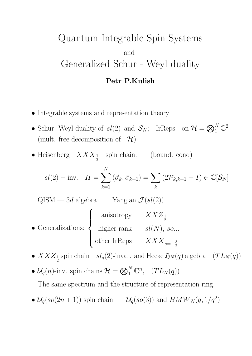# Quantum Integrable Spin Systems and Generalized Schur - Weyl duality

## Petr P.Kulish

- Integrable systems and representation theory
- Schur -Weyl duality of  $sl(2)$  and  $S_N$ ; IrReps on  $\mathcal{H} = \bigotimes_1^N \mathbb{C}^2$ (mult. free decomposition of  $\mathcal{H}$ )
- Heisenberg  $XXX_{\frac{1}{2}}$  spin chain. (bound. cond)

$$
sl(2) - \text{inv.} \quad H = \sum_{k=1}^{N} \left( \vec{\sigma}_k, \vec{\sigma}_{k+1} \right) = \sum_{k} \left( 2\mathcal{P}_{k,k+1} - I \right) \in \mathbb{C}[\mathcal{S}_N]
$$

QISM — 3d algebra Yangian  $\mathcal{J}(sl(2))$ 

- Generalizations:  $\sqrt{ }$  $\int$  $\left\lfloor \right\rfloor$ anisotropy  $XXZ_{\frac{1}{2}}$ higher rank  $sl(N)$ , so... other IrReps  $XXX_{s=1,\frac{3}{2}}$  $\overline{2}$
- $XXZ_{\frac{1}{2}}$  spin chain  $sl_q(2)$ -invar. and Hecke  $\mathfrak{H}_N(q)$  algebra  $(T L_N(q))$
- $\mathcal{U}_q(n)$ -inv. spin chains  $\mathcal{H} = \bigotimes_1^N \mathbb{C}^n$ ,  $(T L_N(q))$

The same spectrum and the structure of representation ring.

•  $\mathcal{U}_q(so(2n+1))$  spin chain  $\mathcal{U}_q(so(3))$  and  $BMW_N(q, 1/q^2)$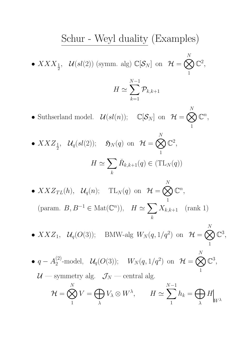Schur - Weyl duality (Examples)  
\n• 
$$
XXX_{\frac{1}{2}}
$$
,  $U(sl(2))$  (symm. alg)  $\mathbb{C}[\mathcal{S}_N]$  on  $\mathcal{H} = \bigotimes_{1}^{N} \mathbb{C}^2$ ,  
\n $H \simeq \sum_{k=1}^{N-1} \mathcal{P}_{k,k+1}$   
\n• Subhserland model.  $U(sl(n))$ ;  $\mathbb{C}[\mathcal{S}_N]$  on  $\mathcal{H} = \bigotimes_{1}^{N} \mathbb{C}^n$ ,  
\n•  $XXZ_{\frac{1}{2}}$ ,  $U_q(sl(2))$ ;  $\mathfrak{H}_N(q)$  on  $\mathcal{H} = \bigotimes_{1}^{N} \mathbb{C}^2$ ,  
\n $H \simeq \sum_{k} \check{R}_{k,k+1}(q) \in (TL_N(q))$   
\n•  $XXZ_{TL}(h)$ ,  $U_q(n)$ ;  $TL_N(q)$  on  $\mathcal{H} = \bigotimes_{1}^{N} \mathbb{C}^n$ ,  
\n(param.  $B, B^{-1} \in \text{Mat}(\mathbb{C}^n)$ ),  $H \simeq \sum_{k} X_{k,k+1}$  (rank 1)

•  $XXZ_1$ ,  $\mathcal{U}_q(O(3))$ ; BMW-alg  $W_N(q, 1/q^2)$  on  $\mathcal{H} = \bigotimes$  $\overline{N}$ 1  $\mathbb{C}^3,$ 

•  $q - A_2^{(2)}$ -model,  $\mathcal{U}_q(O(3))$ ;  $W_N(q, 1/q^2)$  on  $\mathcal{H} = \bigotimes$ N 1  $\mathbb{C}^3,$  $U$  — symmetry alg.  $\mathcal{J}_N$  — central alg.  $\mathcal{H} = \bigotimes$ N 1  $V = \bigoplus$  $\lambda$  $V_{\lambda} \otimes W^{\lambda}$ ,  $H \simeq$  $\sum$ 1  $h_k = \bigoplus$  $\lambda$ H  $W^{\lambda}$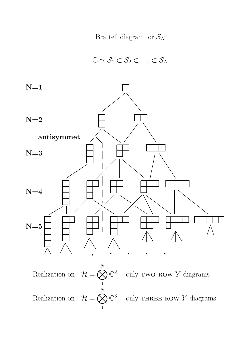Bratteli diagram for  $S_N$ 

 $\mathbb{C} \simeq \mathcal{S}_1 \subset \mathcal{S}_2 \subset \ldots \subset \mathcal{S}_N$ 



1 Realization on  $\mathcal{H} = \bigotimes$ N 1  $\mathbb{C}^3$  only THREE ROW Y-diagrams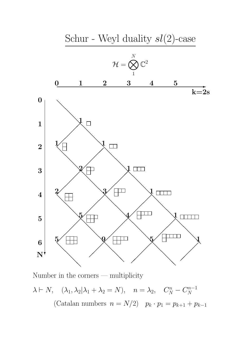

Number in the corners — multiplicity

 $\lambda \vdash N$ ,  $(\lambda_1, \lambda_2 | \lambda_1 + \lambda_2 = N)$ ,  $n = \lambda_2$ ,  $C_N^n - C_N^{n-1}$ (Catalan numbers  $n = N/2$ )  $p_k \cdot p_1 = p_{k+1} + p_{k-1}$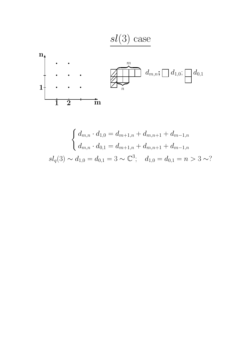



$$
\begin{cases} d_{m,n} \cdot d_{1,0} = d_{m+1,n} + d_{m,n+1} + d_{m-1,n} \\ d_{m,n} \cdot d_{0,1} = d_{m+1,n} + d_{m,n+1} + d_{m-1,n} \end{cases}
$$
  

$$
sl_q(3) \sim d_{1,0} = d_{0,1} = 3 \sim \mathbb{C}^3; \quad d_{1,0} = d_{0,1} = n > 3 \sim ?
$$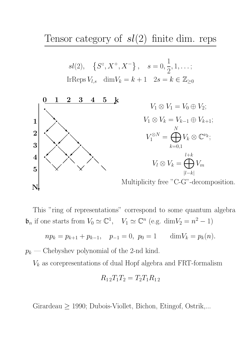Tensor category of  $sl(2)$  finite dim. reps

$$
sl(2), \quad \{S^z, X^+, X^-\}, \quad s = 0, \frac{1}{2}, 1, \dots;
$$
  
IrReps  $V_{l,s}$  dim  $V_k = k + 1$  2s = k  $\in \mathbb{Z}_{\geq 0}$ 



This "ring of representations" correspond to some quantum algebra  $\mathfrak{b}_n$  if one starts from  $V_0 \simeq \mathbb{C}^1$ ,  $V_1 \simeq \mathbb{C}^n$  (e.g. dim $V_2 = n^2 - 1$ )

$$
np_k = p_{k+1} + p_{k-1}, \quad p_{-1} = 0, \ p_0 = 1 \qquad \dim V_k = p_k(n).
$$

 $p_k$  — Chebyshev polynomial of the 2-nd kind.

 $V_k$  as corepresentations of dual Hopf algebra and FRT-formalism

$$
R_{12}T_1T_2 = T_2T_1R_{12}
$$

Girardeau  $\geq$  1990; Dubois-Viollet, Bichon, Etingof, Ostrik,...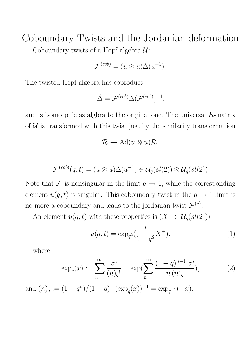Coboundary Twists and the Jordanian deformation Coboundary twists of a Hopf algebra  $\mathcal{U}$ :

$$
\mathcal{F}^{(cob)} = (u \otimes u) \Delta(u^{-1}).
$$

The twisted Hopf algebra has coproduct

$$
\widetilde{\Delta} = \mathcal{F}^{(cob)} \Delta (\mathcal{F}^{(cob)})^{-1},
$$

and is isomorphic as algbra to the original one. The universal R-matrix of  $U$  is transformed with this twist just by the similarity transformation

$$
\mathcal{R} \to \mathrm{Ad}(u \otimes u)\mathcal{R}.
$$

$$
\mathcal{F}^{(cob)}(q,t) = (u \otimes u) \Delta(u^{-1}) \in \mathcal{U}_q(sl(2)) \otimes \mathcal{U}_q(sl(2))
$$

Note that  $\mathcal F$  is nonsingular in the limit  $q \to 1$ , while the corresponding element  $u(q, t)$  is singular. This coboundary twist in the  $q \to 1$  limit is no more a coboundary and leads to the jordanian twist  $\mathcal{F}^{(j)}$ .

An element  $u(q, t)$  with these properties is  $(X^+ \in \mathcal{U}_q(sl(2)))$ 

$$
u(q,t) = \exp_{q^2}(\frac{t}{1-q^2}X^+),\tag{1}
$$

where

$$
\exp_q(x) := \sum_{n=1}^{\infty} \frac{x^n}{(n)_q!} = \exp(\sum_{n=1}^{\infty} \frac{(1-q)^{n-1} x^n}{n (n)_q}),\tag{2}
$$

and  $(n)_q := (1 - q^n)/(1 - q)$ ,  $(\exp_q(x))^{-1} = \exp_{q^{-1}}(-x)$ .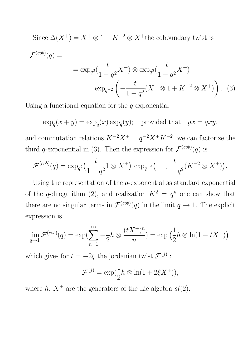Since  $\Delta(X^+) = X^+ \otimes 1 + K^{-2} \otimes X^+$  the coboundary twist is  ${\cal F}^{(cob)}(q) =$  $= \exp_{q^2}(\frac{t}{1-q^2}X^+) \otimes \exp_{q^2}(\frac{t}{1-q^2}X^+)$  $\exp_{q^{-2}}$  $\left(-\frac{t}{1-t}\right)$  $\frac{1}{1-q^2}(X^+\otimes 1+K^{-2}\otimes X^+)$  $\sum_{i=1}^{n}$ . (3)

Using a functional equation for the  $q$ -exponential

$$
\exp_q(x+y) = \exp_q(x) \exp_q(y); \text{ provided that } yx = qxy.
$$

and commutation relations  $K^{-2}X^{+} = q^{-2}X^{+}K^{-2}$  we can factorize the third q-exponential in (3). Then the expression for  $\mathcal{F}^{(cob)}(q)$  is

$$
\mathcal{F}^{(cob)}(q) = \exp_{q^2}\left(\frac{t}{1-q^2}1 \otimes X^+\right) \exp_{q^{-2}}\left(-\frac{t}{1-q^2}(K^{-2} \otimes X^+)\right).
$$

Using the representation of the  $q$ -exponential as standard exponential of the q-dilogarithm (2), and realization  $K^2 = q^h$  one can show that there are no singular terms in  $\mathcal{F}^{(cob)}(q)$  in the limit  $q \to 1$ . The explicit expression is

$$
\lim_{q \to 1} \mathcal{F}^{(cob)}(q) = \exp\left(\sum_{n=1}^{\infty} -\frac{1}{2}h \otimes \frac{(tX^+)^n}{n}\right) = \exp\left(\frac{1}{2}h \otimes \ln(1 - tX^+)\right),
$$

which gives for  $t = -2\xi$  the jordanian twist  $\mathcal{F}^{(j)}$ :

$$
\mathcal{F}^{(j)} = \exp(\frac{1}{2}h \otimes \ln(1 + 2\xi X^+)),
$$

where h,  $X^{\pm}$  are the generators of the Lie algebra  $sl(2)$ .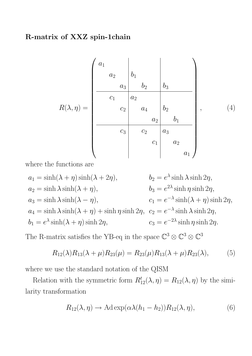# R-matrix of XXZ spin-1chain

$$
R(\lambda, \eta) = \begin{pmatrix} a_1 & & & & \\ & a_2 & b_1 & & & \\ & & a_3 & b_2 & b_3 & \\ & & & a_1 & b_2 & \\ & & & & a_1 & b_2 & \\ & & & & a_2 & b_1 & \\ & & & & & a_2 & b_1 & \\ & & & & & & a_3 & \\ & & & & & & & a_1 \end{pmatrix}, \qquad (4)
$$

where the functions are

 $a_1 = \sinh(\lambda + \eta) \sinh(\lambda + 2\eta),$   $b_2 = e^{\lambda} \sinh \lambda \sinh 2\eta,$  $a_2 = \sinh \lambda \sinh(\lambda + \eta),$   $b_3 = e^{2\lambda} \sinh \eta \sinh 2\eta,$  $a_3 = \sinh \lambda \sinh(\lambda - \eta),$   $c_1 = e^{-\lambda} \sinh(\lambda + \eta) \sinh 2\eta,$  $a_4 = \sinh \lambda \sinh(\lambda + \eta) + \sinh \eta \sinh 2\eta$ ,  $c_2 = e^{-\lambda} \sinh \lambda \sinh 2\eta$ ,  $b_1 = e^{\lambda} \sinh(\lambda + \eta) \sinh 2\eta$ ,  $c_3 = e^{-2\lambda} \sinh \eta \sinh 2\eta$ .

The R-matrix satisfies the YB-eq in the space  $\mathbb{C}^3 \otimes \mathbb{C}^3 \otimes \mathbb{C}^3$ 

$$
R_{12}(\lambda)R_{13}(\lambda+\mu)R_{23}(\mu) = R_{23}(\mu)R_{13}(\lambda+\mu)R_{23}(\lambda), \tag{5}
$$

where we use the standard notation of the QISM

Relation with the symmetric form  $R_{12}^t(\lambda, \eta) = R_{12}(\lambda, \eta)$  by the similarity transformation

$$
R_{12}(\lambda, \eta) \to \text{Ad}\exp(\alpha \lambda (h_1 - h_2)) R_{12}(\lambda, \eta), \tag{6}
$$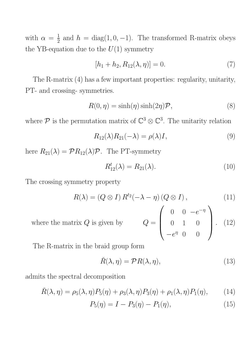with  $\alpha = \frac{1}{2}$  and  $h = \text{diag}(1, 0, -1)$ . The transformed R-matrix obeys the YB-equation due to the  $U(1)$  symmetry

$$
[h_1 + h_2, R_{12}(\lambda, \eta)] = 0.
$$
 (7)

The R-matrix (4) has a few important properties: regularity, unitarity, PT- and crossing- symmetries.

$$
R(0, \eta) = \sinh(\eta)\sinh(2\eta)\mathcal{P},\tag{8}
$$

where  $\mathcal P$  is the permutation matrix of  $\mathbb C^3\otimes\mathbb C^3$ . The unitarity relation

$$
R_{12}(\lambda)R_{21}(-\lambda) = \rho(\lambda)I,
$$
\n(9)

here  $R_{21}(\lambda) = \mathcal{P}R_{12}(\lambda)\mathcal{P}$ . The PT-symmetry

$$
R_{12}^t(\lambda) = R_{21}(\lambda). \tag{10}
$$

The crossing symmetry property

$$
R(\lambda) = (Q \otimes I) R^{t_2}(-\lambda - \eta) (Q \otimes I), \qquad (11)
$$

where the matrix  $Q$  is given by  $\overline{\phantom{a}}$ 0  $0 - e^{-\eta}$  $0 \t 1 \t 0$  $-e^{\eta}$  0 0  $(12)$ 

The R-matrix in the braid group form

$$
\check{R}(\lambda, \eta) = \mathcal{P}R(\lambda, \eta),\tag{13}
$$

admits the spectral decomposition

$$
\check{R}(\lambda,\eta) = \rho_5(\lambda,\eta)P_5(\eta) + \rho_3(\lambda,\eta)P_3(\eta) + \rho_1(\lambda,\eta)P_1(\eta),\tag{14}
$$

$$
P_5(\eta) = I - P_3(\eta) - P_1(\eta), \tag{15}
$$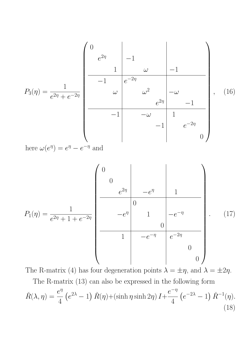$$
P_3(\eta) = \frac{1}{e^{2\eta} + e^{-2\eta}} \begin{bmatrix} 0 & & & & \\ & e^{2\eta} & -1 & & & \\ & & \omega & & -1 \\ & & & \omega & & \\ & & & \omega^2 & -\omega & \\ & & & -1 & & -\omega & 1 \\ & & & & -1 & & \\ & & & & -1 & & \\ & & & & -1 & & \\ & & & & & -1 \end{bmatrix}, (16)
$$
  
here  $\omega(e^{\eta}) = e^{\eta} - e^{-\eta}$  and  

$$
P_1(\eta) = \frac{1}{e^{2\eta} + 1 + e^{-2\eta}} \begin{bmatrix} 0 & & & & \\ & 0 & & & \\ & & & -e^{\eta} & 1 & \\ & & & & 0 & \\ & & & -e^{\eta} & 1 & -e^{-\eta} \\ & & & & 0 & & \\ & & & & 1 & -e^{-\eta} & e^{-2\eta} \\ & & & & & & 0 \end{bmatrix}.
$$
 (17)

The R-matrix (4) has four degeneration points  $\lambda = \pm \eta$ , and  $\lambda = \pm 2\eta$ . The R-matrix (13) can also be expressed in the following form

$$
\check{R}(\lambda,\eta) = \frac{e^{\eta}}{4} \left( e^{2\lambda} - 1 \right) \check{R}(\eta) + (\sinh \eta \sinh 2\eta) I + \frac{e^{-\eta}}{4} \left( e^{-2\lambda} - 1 \right) \check{R}^{-1}(\eta). \tag{18}
$$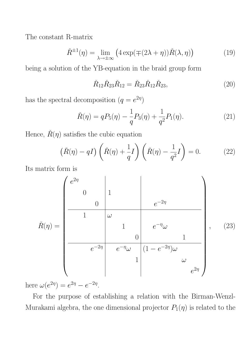The constant R-matrix

$$
\check{R}^{\pm 1}(\eta) = \lim_{\lambda \to \pm \infty} \left( 4 \exp(\mp (2\lambda + \eta)) \check{R}(\lambda, \eta) \right) \tag{19}
$$

being a solution of the YB-equation in the braid group form

$$
\check{R}_{12}\check{R}_{23}\check{R}_{12} = \check{R}_{23}\check{R}_{12}\check{R}_{23},\tag{20}
$$

has the spectral decomposition  $(q = e^{2\eta})$ 

$$
\check{R}(\eta) = qP_5(\eta) - \frac{1}{q}P_3(\eta) + \frac{1}{q^2}P_1(\eta). \tag{21}
$$

Hence,  $\check{R}(\eta)$  satisfies the cubic equation

$$
(\check{R}(\eta) - qI) \left(\check{R}(\eta) + \frac{1}{q}I\right) \left(\check{R}(\eta) - \frac{1}{q^2}I\right) = 0.
$$
 (22)

Its matrix form is

$$
\check{R}(\eta) = \begin{pmatrix} e^{2\eta} & & & \\ 0 & 1 & & \\ & & 0 & \\ 1 & \omega & & \\ & & 1 & \\ & & & 0 & \\ & & & & 0 \\ & & & & & 1 \\ & & & & & 1 \end{pmatrix}, \quad (23)
$$

here  $\omega(e^{2\eta}) = e^{2\eta} - e^{-2\eta}$ .

For the purpose of establishing a relation with the Birman-Wenzl-Murakami algebra, the one dimensional projector  $P_1(\eta)$  is related to the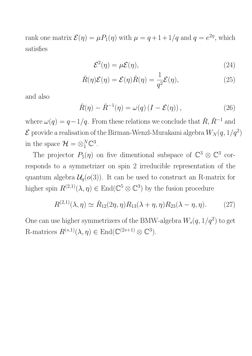rank one matrix  $\mathcal{E}(\eta) = \mu P_1(\eta)$  with  $\mu = q + 1 + 1/q$  and  $q = e^{2\eta}$ , which satisfies

$$
\mathcal{E}^2(\eta) = \mu \mathcal{E}(\eta),\tag{24}
$$

$$
\check{R}(\eta)\mathcal{E}(\eta) = \mathcal{E}(\eta)\check{R}(\eta) = \frac{1}{q^2}\mathcal{E}(\eta),\tag{25}
$$

and also

$$
\check{R}(\eta) - \check{R}^{-1}(\eta) = \omega(q) \left( I - \mathcal{E}(\eta) \right),\tag{26}
$$

where  $\omega(q) = q - 1/q$ . From these relations we conclude that  $\check{R}, \check{R}^{-1}$  and  ${\cal E}$  provide a realisation of the Birman-Wenzl-Murakami algebra  $W_N(q,1/q^2)$ in the space  $\mathcal{H} = \otimes_1^N \mathbb{C}^3$ .

The projector  $P_5(\eta)$  on five dimentional subspace of  $\mathbb{C}^3 \otimes \mathbb{C}^3$  corresponds to a symmetrizer on spin 2 irreducible representation of the quantum algebra  $\mathcal{U}_q(o(3))$ . It can be used to construct an R-matrix for higher spin  $R^{(2,1)}(\lambda, \eta) \in \text{End}(\mathbb{C}^5 \otimes \mathbb{C}^3)$  by the fusion procedure

$$
R^{(2,1)}(\lambda,\eta) \simeq \tilde{R}_{12}(2\eta,\eta)R_{13}(\lambda+\eta,\eta)R_{23}(\lambda-\eta,\eta). \tag{27}
$$

One can use higher symmetrizers of the BMW-algebra  $W_s(q, 1/q^2)$  to get R-matrices  $R^{(s,1)}(\lambda, \eta) \in \text{End}(\mathbb{C}^{(2s+1)} \otimes \mathbb{C}^3)$ .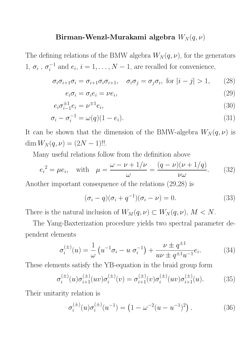## Birman-Wenzl-Murakami algebra  $W_N(q, \nu)$

The defining relations of the BMW algebra  $W_N(q, \nu)$ , for the generators 1,  $\sigma_i$ ,  $\sigma_i^{-1}$  and  $e_i$ ,  $i = 1, ..., N - 1$ , are recalled for convenience,

$$
\sigma_i \sigma_{i+1} \sigma_i = \sigma_{i+1} \sigma_i \sigma_{i+1}, \quad \sigma_i \sigma_j = \sigma_j \sigma_i, \text{ for } |i-j| > 1,
$$
 (28)

$$
e_i \sigma_i = \sigma_i e_i = \nu e_i,\tag{29}
$$

$$
e_i \sigma_{i-1}^{\pm 1} e_i = \nu^{\mp 1} e_i,\tag{30}
$$

$$
\sigma_i - \sigma_i^{-1} = \omega(q)(1 - e_i). \tag{31}
$$

It can be shown that the dimension of the BMW-algebra  $W_N(q, \nu)$  is dim  $W_N(q, \nu) = (2N - 1)!!$ .

Many useful relations follow from the definition above

$$
e_i^2 = \mu e_i
$$
, with  $\mu = \frac{\omega - \nu + 1/\nu}{\omega} = \frac{(q - \nu)(\nu + 1/q)}{\nu \omega}$ . (32)

Another important consequence of the relations (29,28) is

$$
(\sigma_i - q)(\sigma_i + q^{-1})(\sigma_i - \nu) = 0.
$$
\n(33)

There is the natural inclusion of  $W_M(q, \nu) \subset W_N(q, \nu)$ ,  $M \subset N$ .

The Yang-Baxterization procedure yields two spectral parameter dependent elements

$$
\sigma_i^{(\pm)}(u) = \frac{1}{\omega} \left( u^{-1} \sigma_i - u \sigma_i^{-1} \right) + \frac{\nu \pm q^{\pm 1}}{u \nu \pm q^{\pm 1} u^{-1}} e_i.
$$
 (34)

These elements satisfy the YB-equation in the braid group form

$$
\sigma_i^{(\pm)}(u)\sigma_{i+1}^{(\pm)}(uv)\sigma_i^{(\pm)}(v) = \sigma_{i+1}^{(\pm)}(v)\sigma_i^{(\pm)}(uv)\sigma_{i+1}^{(\pm)}(u). \tag{35}
$$

Their unitarity relation is

$$
\sigma_i^{(\pm)}(u)\sigma_i^{(\pm)}(u^{-1}) = \left(1 - \omega^{-2}(u - u^{-1})^2\right). \tag{36}
$$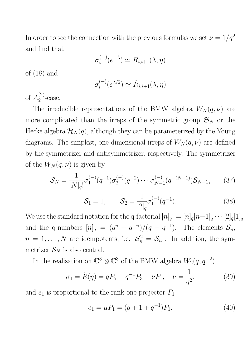In order to see the connection with the previous formulas we set  $\nu = 1/q^2$ and find that

$$
\sigma_i^{(-)}(e^{-\lambda}) \simeq \check{R}_{i,i+1}(\lambda,\eta)
$$

of (18) and

$$
\sigma_i^{(+)}(e^{\lambda/2}) \simeq \check{R}_{i,i+1}(\lambda, \eta)
$$

of  $A_2^{(2)}$ -case.

The irreducible representations of the BMW algebra  $W_N(q, \nu)$  are more complicated than the irreps of the symmetric group  $\mathfrak{S}_N$  or the Hecke algebra  $\mathcal{H}_N(q)$ , although they can be parameterized by the Young diagrams. The simplest, one-dimensional irreps of  $W_N(q, \nu)$  are defined by the symmetrizer and antisymmetrizer, respectively. The symmetrizer of the  $W_N(q, \nu)$  is given by

$$
S_N = \frac{1}{[N]_q!} \sigma_1^{(-)}(q^{-1}) \sigma_2^{(-)}(q^{-2}) \cdots \sigma_{N-1}^{(-)}(q^{-(N-1)}) S_{N-1}, \qquad (37)
$$

$$
S_1 = 1, \qquad S_2 = \frac{1}{[2]_q} \sigma_1^{(-)}(q^{-1}). \tag{38}
$$

We use the standard notation for the q-factorial  $[n]_q!=[n]_q[n-1]_q\cdots[2]_q[1]_q$ and the q-numbers  $[n]_q = (q^n - q^{-n})/(q - q^{-1})$ . The elements  $S_n$ ,  $n = 1, \ldots, N$  are idempotents, i.e.  $S_n^2 = S_n$ . In addition, the symmetrizer  $S_N$  is also central.

In the realisation on  $\mathbb{C}^3 \otimes \mathbb{C}^3$  of the BMW algebra  $W_2(q, q^{-2})$ 

$$
\sigma_1 = \check{R}(\eta) = qP_5 - q^{-1}P_3 + \nu P_1, \quad \nu = \frac{1}{q^2}, \tag{39}
$$

and  $e_1$  is proportional to the rank one projector  $P_1$ 

$$
e_1 = \mu P_1 = (q + 1 + q^{-1})P_1.
$$
\n(40)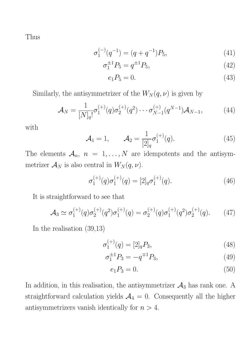Thus

$$
\sigma_1^{(-)}(q^{-1}) = (q + q^{-1})P_5,\tag{41}
$$

$$
\sigma_1^{\pm 1} P_5 = q^{\pm 1} P_5,\tag{42}
$$

$$
e_1 P_5 = 0.\t\t(43)
$$

Similarly, the antisymmetrizer of the  $W_N(q, \nu)$  is given by

$$
\mathcal{A}_N = \frac{1}{[N]_q!} \sigma_1^{(+)}(q) \sigma_2^{(+)}(q^2) \cdots \sigma_{N-1}^{(+)}(q^{N-1}) \mathcal{A}_{N-1},
$$
\n(44)

with

$$
\mathcal{A}_1 = 1, \qquad \mathcal{A}_2 = \frac{1}{[2]_q} \sigma_1^{(+)}(q). \tag{45}
$$

The elements  $A_n$ ,  $n = 1, ..., N$  are idempotents and the antisymmetrizer  $\mathcal{A}_N$  is also central in  $W_N(q, \nu)$ .

$$
\sigma_1^{(+)}(q)\sigma_1^{(+)}(q) = [2]_q \sigma_1^{(+)}(q). \tag{46}
$$

It is straightforward to see that

$$
\mathcal{A}_3 \simeq \sigma_1^{(+)}(q)\sigma_2^{(+)}(q^2)\sigma_1^{(+)}(q) = \sigma_2^{(+)}(q)\sigma_1^{(+)}(q^2)\sigma_2^{(+)}(q). \tag{47}
$$

In the realisation (39,13)

$$
\sigma_1^{(+)}(q) = [2]_q P_3,\tag{48}
$$

$$
\sigma_1^{\pm 1} P_3 = -q^{\mp 1} P_3,\tag{49}
$$

$$
e_1 P_3 = 0. \t\t(50)
$$

In addition, in this realisation, the antisymmetrizer  $A_3$  has rank one. A straightforward calculation yields  $A_4 = 0$ . Consequently all the higher antisymmetrizers vanish identically for  $n > 4$ .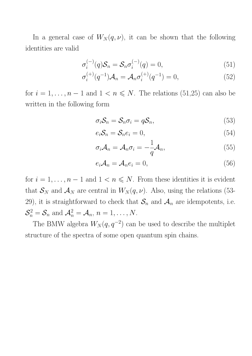In a general case of  $W_N(q, \nu)$ , it can be shown that the following identities are valid

$$
\sigma_i^{(-)}(q)\mathcal{S}_n = \mathcal{S}_n \sigma_i^{(-)}(q) = 0,\tag{51}
$$

$$
\sigma_i^{(+)}(q^{-1})\mathcal{A}_n = \mathcal{A}_n \sigma_i^{(+)}(q^{-1}) = 0,
$$
\n(52)

for  $i = 1, \ldots, n - 1$  and  $1 < n \le N$ . The relations (51,25) can also be written in the following form

$$
\sigma_i \mathcal{S}_n = \mathcal{S}_n \sigma_i = q \mathcal{S}_n, \tag{53}
$$

$$
e_i \mathcal{S}_n = \mathcal{S}_n e_i = 0,\tag{54}
$$

$$
\sigma_i \mathcal{A}_n = \mathcal{A}_n \sigma_i = -\frac{1}{q} \mathcal{A}_n,\tag{55}
$$

$$
e_i \mathcal{A}_n = \mathcal{A}_n e_i = 0, \tag{56}
$$

for  $i = 1, \ldots, n - 1$  and  $1 < n \le N$ . From these identities it is evident that  $S_N$  and  $A_N$  are central in  $W_N(q, \nu)$ . Also, using the relations (53-29), it is straightforward to check that  $S_n$  and  $A_n$  are idempotents, i.e.  $\mathcal{S}_n^2 = \mathcal{S}_n$  and  $\mathcal{A}_n^2 = \mathcal{A}_n$ ,  $n = 1, \ldots, N$ .

The BMW algebra  $W_N(q, q^{-2})$  can be used to describe the multiplet structure of the spectra of some open quantum spin chains.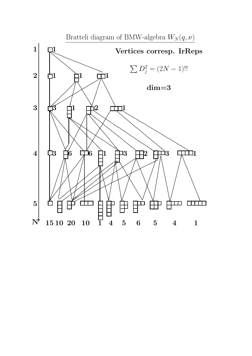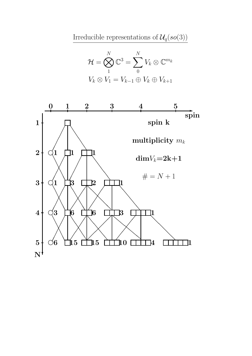Irreducible representations of  $\mathcal{U}_q(so(3))$ 

$$
\mathcal{H} = \bigotimes_{1}^{N} \mathbb{C}^{3} = \sum_{0}^{N} V_{k} \otimes \mathbb{C}^{m_{k}}
$$

$$
V_{k} \otimes V_{1} = V_{k-1} \oplus V_{k} \oplus V_{k+1}
$$

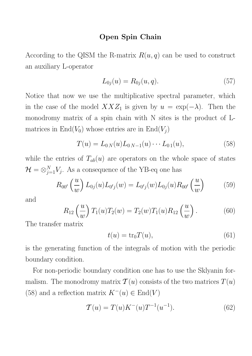#### Open Spin Chain

According to the QISM the R-matrix  $R(u, q)$  can be used to construct an auxiliary L-operator

$$
L_{0j}(u) = R_{0j}(u, q). \tag{57}
$$

Notice that now we use the multiplicative spectral parameter, which in the case of the model  $XXZ_1$  is given by  $u = \exp(-\lambda)$ . Then the monodromy matrix of a spin chain with N sites is the product of Lmatrices in  $\text{End}(V_0)$  whose entries are in  $\text{End}(V_i)$ 

$$
T(u) = L_{0N}(u)L_{0N-1}(u)\cdots L_{01}(u),
$$
\n(58)

while the entries of  $T_{ab}(u)$  are operators on the whole space of states  $\mathcal{H} = \otimes_{j=1}^{N} V_j$ . As a consequence of the YB-eq one has

$$
R_{00'}\left(\frac{u}{w}\right)L_{0j}(u)L_{0'j}(w) = L_{0'j}(w)L_{0j}(u)R_{00'}\left(\frac{u}{w}\right) \tag{59}
$$

and

$$
R_{12}\left(\frac{u}{w}\right)T_1(u)T_2(w) = T_2(w)T_1(u)R_{12}\left(\frac{u}{w}\right). \tag{60}
$$

The transfer matrix

$$
t(u) = \text{tr}_0 T(u),\tag{61}
$$

is the generating function of the integrals of motion with the periodic boundary condition.

For non-periodic boundary condition one has to use the Sklyanin formalism. The monodromy matrix  $\mathcal{T}(u)$  consists of the two matrices  $T(u)$ (58) and a reflection matrix  $K^{-}(u) \in \text{End}(V)$ 

$$
T(u) = T(u)K^{-}(u)T^{-1}(u^{-1}).
$$
\n(62)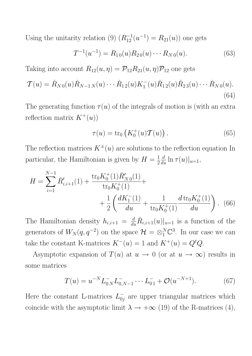Using the unitarity relation (9)  $(R_{12}^{-1}(u^{-1}) = R_{21}(u))$  one gets

$$
T^{-1}(u^{-1}) = R_{10}(u)R_{20}(u) \cdots R_{N0}(u).
$$
 (63)

Taking into account  $R_{12}(u, \eta) = \mathcal{P}_{12}R_{21}(u, \eta)\mathcal{P}_{12}$  one gets

$$
\mathcal{T}(u) = \check{R}_{N0}(u)\check{R}_{N-1N}(u)\cdots\check{R}_{12}(u)K_1^-(u)\check{R}_{12}(u)\check{R}_{23}(u)\cdots\check{R}_{N0}(u).
$$
\n(64)

The generating function  $\tau(u)$  of the integrals of motion is (with an extra reflection matrix  $K^+(u)$ 

$$
\tau(u) = \text{tr}_0\left(K_0^+(u)\mathcal{T}(u)\right). \tag{65}
$$

The reflection matrices  $K^{\pm}(u)$  are solutions to the reflection equation In particular, the Hamiltonian is given by  $H = \frac{1}{2}$  $\frac{d}{du} \ln \tau(u)|_{u=1},$ 

$$
H = \sum_{i=1}^{N-1} \check{R}'_{i,i+1}(1) + \frac{\text{tr}_0 K_0^+(1)\check{R}'_{N0}(1)}{\text{tr}_0 K_0^+(1)} + \frac{1}{2} \left( \frac{dK_1^-(1)}{du} + \frac{1}{\text{tr}_0 K_0^+(1)} \frac{d \text{tr}_0 K_0^+(1)}{du} \right). \tag{66}
$$

The Hamiltonian density  $h_{i,i+1} = \frac{d}{du} \tilde{R}_{i,i+1}(u)|_{u=1}$  is a function of the generators of  $W_N(q,q^{-2})$  on the space  $\mathcal{H} = \otimes_1^N \mathbb{C}^3$ . In our case we can take the constant K-matrices  $K^-(u) = 1$  and  $K^+(u) = Q^t Q$ .

Asymptotic expansion of  $T(u)$  at  $u \to 0$  (or at  $u \to \infty$ ) results in some matrices

$$
T(u) = u^{-N} L_{0N}^- L_{0,N-1}^- \cdots L_{01}^- + \mathcal{O}(u^{-N+1}). \tag{67}
$$

Here the constant L-matrices  $L_{0j}^-$  are upper triangular matrices which coincide with the asymptotic limit  $\lambda \to +\infty$  (19) of the R-matrices (4),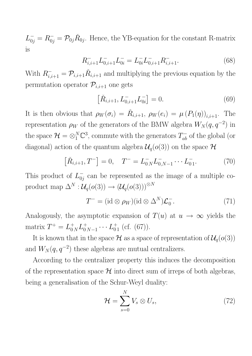$L_{0j}^- = R_{0j}^- = \mathcal{P}_{0j} R_{0j}$ . Hence, the YB-equation for the constant R-matrix is

$$
R_{i,i+1}^- L_{0,i+1}^- L_{0i}^- = L_{0i}^- L_{0,i+1}^- R_{i,i+1}^-.
$$
\n(68)

With  $R_{i,i+1}^- = \mathcal{P}_{i,i+1} R_{i,i+1}$  and multiplying the previous equation by the permutation operator  $\mathcal{P}_{i,i+1}$  one gets

$$
[\check{R}_{i,i+1}, L_{0,i+1}^- L_{0i}^-] = 0.
$$
\n(69)

It is then obvious that  $\rho_W(\sigma_i) = \tilde{R}_{i,i+1}, \rho_W(e_i) = \mu (P_1(\eta))_{i,i+1}$ . The representation  $\rho_W$  of the generators of the BMW algebra  $W_N(q, q^{-2})$  in the space  $\mathcal{H} = \otimes_1^N \mathbb{C}^3$ , commute with the generators  $T_{ab}^-$  of the global (or diagonal) action of the quantum algebra  $\mathcal{U}_q(o(3))$  on the space  $\mathcal{H}$ 

$$
[\check{R}_{i,i+1}, T^-] = 0, \quad T^- = L_{0N}^- L_{0,N-1}^- \cdots L_{01}^-.
$$
 (70)

This product of  $L_{0j}^-$  can be represented as the image of a multiple coproduct map  $\Delta^N : \mathcal{U}_q(o(3)) \to (\mathcal{U}_q(o(3)))^{\otimes N}$ 

$$
T^{-} = (\mathrm{id} \otimes \rho_W)(\mathrm{id} \otimes \Delta^N)\mathcal{L}_0^{-}.
$$
 (71)

Analogously, the asymptotic expansion of  $T(u)$  at  $u \to \infty$  yields the matrix  $T^+ = L_{0N}^+ L_{0N-1}^+ \cdots L_{01}^+$  (cf. (67)).

It is known that in the space  $\mathcal H$  as a space of representation of  $\mathcal U_q(o(3))$ and  $W_N(q, q^{-2})$  these algebras are mutual centralizers.

According to the centralizer property this induces the decomposition of the representation space  $\mathcal H$  into direct sum of irreps of both algebras, being a generalisation of the Schur-Weyl duality:

$$
\mathcal{H} = \sum_{s=0}^{N} V_s \otimes U_s, \qquad (72)
$$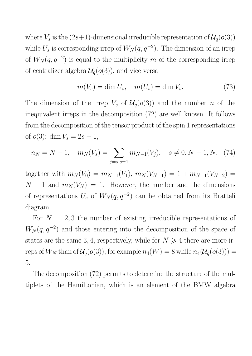where  $V_s$  is the  $(2s+1)$ -dimensional irreducible representation of  $\mathcal{U}_q(o(3))$ while  $U_s$  is corresponding irrep of  $W_N(q, q^{-2})$ . The dimension of an irrep of  $W_N(q, q^{-2})$  is equal to the multiplicity m of the corresponding irrep of centralizer algebra  $\mathcal{U}_q(o(3))$ , and vice versa

$$
m(V_s) = \dim U_s, \quad m(U_s) = \dim V_s. \tag{73}
$$

The dimension of the irrep  $V_s$  of  $\mathcal{U}_q(o(3))$  and the number n of the inequivalent irreps in the decomposition (72) are well known. It follows from the decomposition of the tensor product of the spin 1 representations of  $o(3)$ : dim  $V_s = 2s + 1$ ,

$$
n_N = N + 1, \quad m_N(V_s) = \sum_{j=s, s \pm 1} m_{N-1}(V_j), \quad s \neq 0, N - 1, N, \tag{74}
$$

together with  $m_N(V_0) = m_{N-1}(V_1)$ ,  $m_N(V_{N-1})=1+m_{N-1}(V_{N-2})=$  $N-1$  and  $m_N(V_N) = 1$ . However, the number and the dimensions of representations  $U_s$  of  $W_N(q, q^{-2})$  can be obtained from its Bratteli diagram.

For  $N = 2, 3$  the number of existing irreducible representations of  $W_N(q, q^{-2})$  and those entering into the decomposition of the space of states are the same 3, 4, respectively, while for  $N \geq 4$  there are more irreps of  $W_N$  than of  $\mathcal{U}_q(o(3))$ , for example  $n_4(W) = 8$  while  $n_4(\mathcal{U}_q(o(3))) =$ 5.

The decomposition (72) permits to determine the structure of the multiplets of the Hamiltonian, which is an element of the BMW algebra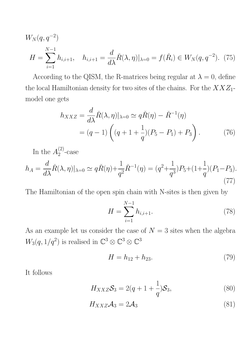$$
W_N(q, q^{-2})
$$
  
\n
$$
H = \sum_{i=1}^{N-1} h_{i,i+1}, \quad h_{i,i+1} = \frac{d}{d\lambda} \check{R}(\lambda, \eta)|_{\lambda=0} = f(\check{R}_i) \in W_N(q, q^{-2}). \tag{75}
$$

According to the QISM, the R-matrices being regular at  $\lambda = 0$ , define the local Hamiltonian density for two sites of the chains. For the  $XXZ_1$ model one gets

$$
h_{XXZ} = \frac{d}{d\lambda} \check{R}(\lambda, \eta)|_{\lambda=0} \simeq q\check{R}(\eta) - \check{R}^{-1}(\eta)
$$
  
=  $(q-1)\left( (q+1+\frac{1}{q})(P_5 - P_1) + P_3 \right).$  (76)

In the  $A_2^{(2)}$ -case

$$
h_A = \frac{d}{d\lambda} \check{R}(\lambda, \eta)|_{\lambda=0} \simeq q \check{R}(\eta) + \frac{1}{q^2} \check{R}^{-1}(\eta) = (q^2 + \frac{1}{q^3})P_5 + (1 + \frac{1}{q})(P_1 - P_3). \tag{77}
$$

The Hamiltonian of the open spin chain with N-sites is then given by

$$
H = \sum_{i=1}^{N-1} h_{i,i+1}.
$$
 (78)

As an example let us consider the case of  ${\cal N}=3$  sites when the algebra  $W_3(q, 1/q^2)$  is realised in  $\mathbb{C}^3 \otimes \mathbb{C}^3 \otimes \mathbb{C}^3$ 

$$
H = h_{12} + h_{23}.\t\t(79)
$$

It follows

$$
H_{XXZ}\mathcal{S}_3 = 2(q+1+\frac{1}{q})\mathcal{S}_3,\tag{80}
$$

$$
H_{XXZ}\mathcal{A}_3 = 2\mathcal{A}_3 \tag{81}
$$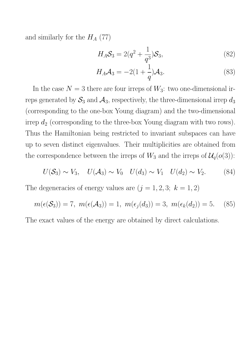and similarly for the  $H_A$  (77)

$$
H_A \mathcal{S}_3 = 2(q^2 + \frac{1}{q^3}) \mathcal{S}_3,\tag{82}
$$

$$
H_A \mathcal{A}_3 = -2(1 + \frac{1}{q})\mathcal{A}_3. \tag{83}
$$

In the case  $N = 3$  there are four irreps of  $W_3$ : two one-dimensional irreps generated by  $S_3$  and  $A_3$ , respectively, the three-dimensional irrep  $d_3$ (corresponding to the one-box Young diagram) and the two-dimensional irrep  $d_2$  (corresponding to the three-box Young diagram with two rows). Thus the Hamiltonian being restricted to invariant subspaces can have up to seven distinct eigenvalues. Their multiplicities are obtained from the correspondence between the irreps of  $W_3$  and the irreps of  $\mathcal{U}_q(o(3))$ :

$$
U(\mathcal{S}_3) \sim V_3, \quad U(\mathcal{A}_3) \sim V_0 \quad U(d_3) \sim V_1 \quad U(d_2) \sim V_2. \tag{84}
$$

The degeneracies of energy values are  $(j = 1, 2, 3; k = 1, 2)$ 

$$
m(\epsilon(S_3)) = 7
$$
,  $m(\epsilon(A_3)) = 1$ ,  $m(\epsilon_j(d_3)) = 3$ ,  $m(\epsilon_k(d_2)) = 5$ . (85)

The exact values of the energy are obtained by direct calculations.